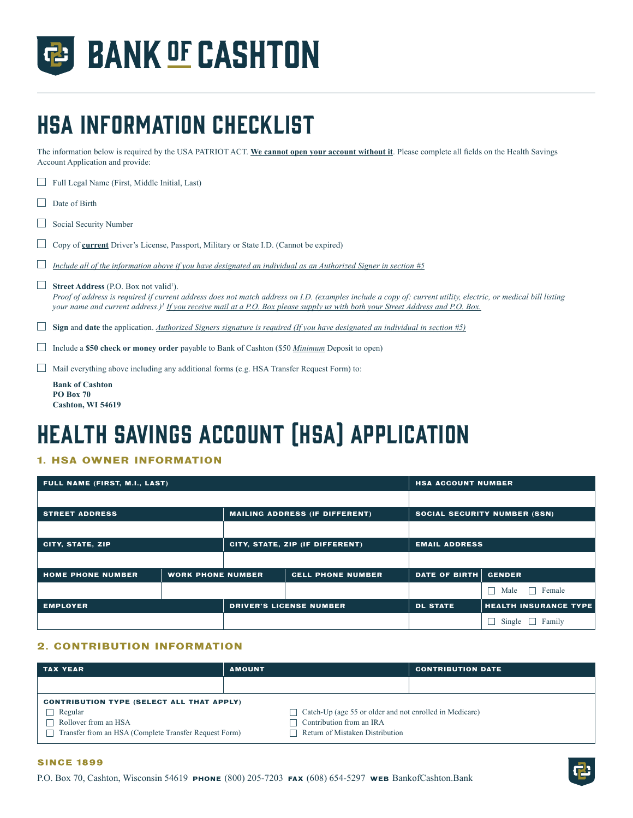

# HSA Information Checklist

The information below is required by the USA PATRIOT ACT. **We cannot open your account without it**. Please complete all fields on the Health Savings Account Application and provide:

| <b>Bank of Cashton</b><br><b>PO Box 70</b><br>Cashton, WI 54619                                                                                                                                                                                                                                                                                                            |
|----------------------------------------------------------------------------------------------------------------------------------------------------------------------------------------------------------------------------------------------------------------------------------------------------------------------------------------------------------------------------|
| Mail everything above including any additional forms (e.g. HSA Transfer Request Form) to:                                                                                                                                                                                                                                                                                  |
| Include a \$50 check or money order payable to Bank of Cashton (\$50 Minimum Deposit to open)                                                                                                                                                                                                                                                                              |
| <b>Sign and date</b> the application. Authorized Signers signature is required (If you have designated an individual in section $\#5$ )                                                                                                                                                                                                                                    |
| <b>Street Address</b> (P.O. Box not valid <sup>1</sup> ).<br>Proof of address is required if current address does not match address on I.D. (examples include a copy of: current utility, electric, or medical bill listing<br>your name and current address.) <sup>†</sup> If you receive mail at a P.O. Box please supply us with both your Street Address and P.O. Box. |
| Include all of the information above if you have designated an individual as an Authorized Signer in section #5                                                                                                                                                                                                                                                            |
| Copy of current Driver's License, Passport, Military or State I.D. (Cannot be expired)                                                                                                                                                                                                                                                                                     |
| Social Security Number                                                                                                                                                                                                                                                                                                                                                     |
| Date of Birth                                                                                                                                                                                                                                                                                                                                                              |
| Full Legal Name (First, Middle Initial, Last)                                                                                                                                                                                                                                                                                                                              |

## Health Savings Account (HSA) application

## **1. HSA OWNER INFORMATION**

| FULL NAME (FIRST, M.I., LAST) | <b>HSA ACCOUNT NUMBER</b> |                                 |                                                   |                      |                                     |  |
|-------------------------------|---------------------------|---------------------------------|---------------------------------------------------|----------------------|-------------------------------------|--|
|                               |                           |                                 |                                                   |                      |                                     |  |
| <b>STREET ADDRESS</b>         |                           |                                 | <b>MAILING ADDRESS (IF DIFFERENT)</b>             |                      | <b>SOCIAL SECURITY NUMBER (SSN)</b> |  |
|                               |                           |                                 |                                                   |                      |                                     |  |
| CITY, STATE, ZIP              |                           | CITY, STATE, ZIP (IF DIFFERENT) |                                                   | <b>EMAIL ADDRESS</b> |                                     |  |
|                               |                           |                                 |                                                   |                      |                                     |  |
| <b>HOME PHONE NUMBER</b>      | <b>WORK PHONE NUMBER</b>  |                                 | <b>CELL PHONE NUMBER</b>                          | <b>DATE OF BIRTH</b> | <b>GENDER</b>                       |  |
|                               |                           |                                 |                                                   |                      | Female<br>Male<br>$\mathbf{1}$      |  |
| <b>EMPLOYER</b>               |                           |                                 | <b>DRIVER'S LICENSE NUMBER</b><br><b>DL STATE</b> |                      | <b>HEALTH INSURANCE TYPE</b>        |  |
|                               |                           |                                 |                                                   |                      | Family<br>Single                    |  |

## **2. CONTRIBUTION INFORMATION**

| <b>TAX YEAR</b>                                       | <b>AMOUNT</b> |                                                                | <b>CONTRIBUTION DATE</b> |  |  |  |  |
|-------------------------------------------------------|---------------|----------------------------------------------------------------|--------------------------|--|--|--|--|
|                                                       |               |                                                                |                          |  |  |  |  |
| <b>CONTRIBUTION TYPE (SELECT ALL THAT APPLY)</b>      |               |                                                                |                          |  |  |  |  |
| Regular                                               |               | $\Box$ Catch-Up (age 55 or older and not enrolled in Medicare) |                          |  |  |  |  |
| $\Box$ Rollover from an HSA                           |               | Contribution from an IRA                                       |                          |  |  |  |  |
| Transfer from an HSA (Complete Transfer Request Form) |               | Return of Mistaken Distribution                                |                          |  |  |  |  |

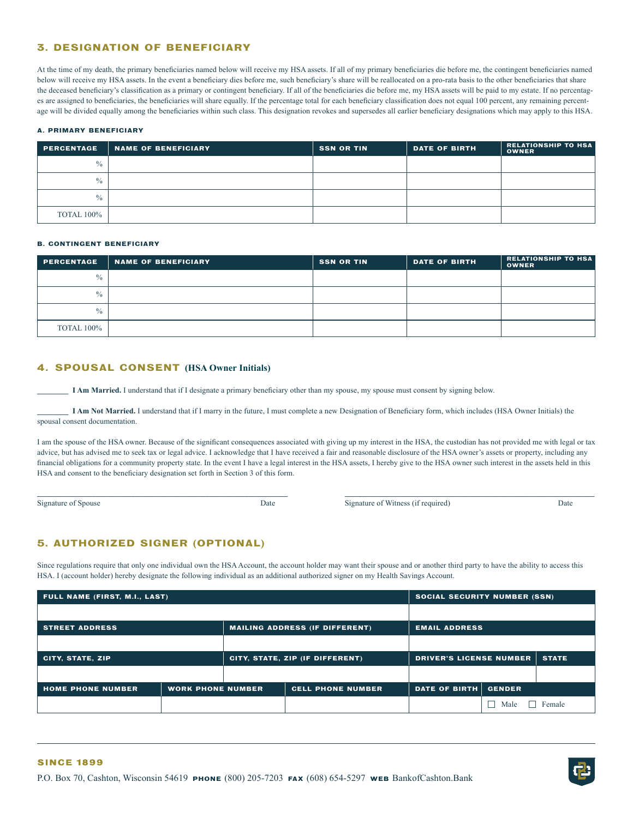## **3. DESIGNATION OF BENEFICIARY**

At the time of my death, the primary beneficiaries named below will receive my HSA assets. If all of my primary beneficiaries die before me, the contingent beneficiaries named below will receive my HSA assets. In the event a beneficiary dies before me, such beneficiary's share will be reallocated on a pro-rata basis to the other beneficiaries that share the deceased beneficiary's classification as a primary or contingent beneficiary. If all of the beneficiaries die before me, my HSA assets will be paid to my estate. If no percentages are assigned to beneficiaries, the beneficiaries will share equally. If the percentage total for each beneficiary classification does not equal 100 percent, any remaining percentage will be divided equally among the beneficiaries within such class. This designation revokes and supersedes all earlier beneficiary designations which may apply to this HSA.

#### **A. PRIMARY BENEFICIARY**

| <b>PERCENTAGE</b> | NAME OF BENEFICIARY | <b>SSN OR TIN</b> | <b>DATE OF BIRTH</b> | <b>RELATIONSHIP TO HSA</b><br><b>OWNER</b> |
|-------------------|---------------------|-------------------|----------------------|--------------------------------------------|
| $\frac{0}{0}$     |                     |                   |                      |                                            |
| $\frac{0}{0}$     |                     |                   |                      |                                            |
| $\frac{0}{0}$     |                     |                   |                      |                                            |
| <b>TOTAL 100%</b> |                     |                   |                      |                                            |

#### **B. CONTINGENT BENEFICIARY**

| <b>PERCENTAGE</b> | <b>NAME OF BENEFICIARY</b> | <b>SSN OR TIN</b> | <b>DATE OF BIRTH</b> | <b>RELATIONSHIP TO HSA</b><br><b>OWNER</b> |
|-------------------|----------------------------|-------------------|----------------------|--------------------------------------------|
| $\frac{0}{0}$     |                            |                   |                      |                                            |
| $\frac{0}{0}$     |                            |                   |                      |                                            |
| $\frac{0}{0}$     |                            |                   |                      |                                            |
| <b>TOTAL 100%</b> |                            |                   |                      |                                            |

### **4. SPOUSAL CONSENT (HSA Owner Initials)**

**\_\_\_\_\_\_\_\_ I Am Married.** I understand that if I designate a primary beneficiary other than my spouse, my spouse must consent by signing below.

**\_\_\_\_\_\_\_\_ I Am Not Married.** I understand that if I marry in the future, I must complete a new Designation of Beneficiary form, which includes (HSA Owner Initials) the spousal consent documentation.

I am the spouse of the HSA owner. Because of the significant consequences associated with giving up my interest in the HSA, the custodian has not provided me with legal or tax advice, but has advised me to seek tax or legal advice. I acknowledge that I have received a fair and reasonable disclosure of the HSA owner's assets or property, including any financial obligations for a community property state. In the event I have a legal interest in the HSA assets, I hereby give to the HSA owner such interest in the assets held in this HSA and consent to the beneficiary designation set forth in Section 3 of this form.

**\_\_\_\_\_\_\_\_\_\_\_\_\_\_\_\_\_\_\_\_\_\_\_\_\_\_\_\_\_\_\_\_\_\_\_\_\_\_\_\_\_\_\_\_\_\_\_\_\_\_\_\_\_\_\_\_\_\_\_\_\_\_\_\_ \_\_\_\_\_\_\_\_\_\_\_\_\_\_\_\_\_\_\_\_\_\_\_\_\_\_\_\_\_\_\_\_\_\_\_\_\_\_\_\_\_\_\_\_\_\_\_\_\_\_\_\_\_\_\_\_\_\_\_\_\_\_\_\_**

Signature of Spouse Date Date Signature of Witness (if required) Date Date

## **5. AUTHORIZED SIGNER (OPTIONAL)**

Since regulations require that only one individual own the HSA Account, the account holder may want their spouse and or another third party to have the ability to access this HSA. I (account holder) hereby designate the following individual as an additional authorized signer on my Health Savings Account.

| FULL NAME (FIRST, M.I., LAST) | <b>SOCIAL SECURITY NUMBER (SSN)</b> |  |                                       |                                |               |              |
|-------------------------------|-------------------------------------|--|---------------------------------------|--------------------------------|---------------|--------------|
|                               |                                     |  |                                       |                                |               |              |
| <b>STREET ADDRESS</b>         |                                     |  | <b>MAILING ADDRESS (IF DIFFERENT)</b> | <b>EMAIL ADDRESS</b>           |               |              |
|                               |                                     |  |                                       |                                |               |              |
| <b>CITY, STATE, ZIP</b>       |                                     |  | CITY, STATE, ZIP (IF DIFFERENT)       | <b>DRIVER'S LICENSE NUMBER</b> |               | <b>STATE</b> |
|                               |                                     |  |                                       |                                |               |              |
| <b>HOME PHONE NUMBER</b>      | <b>WORK PHONE NUMBER</b>            |  | <b>CELL PHONE NUMBER</b>              | <b>DATE OF BIRTH</b>           | <b>GENDER</b> |              |
|                               |                                     |  |                                       |                                | Male          | Female       |

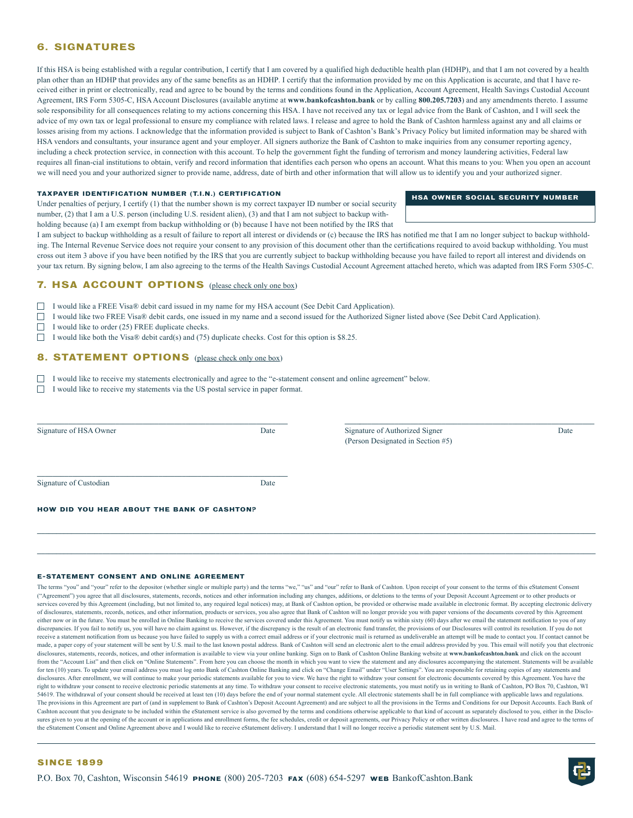## **6. SIGNATURES**

If this HSA is being established with a regular contribution, I certify that I am covered by a qualified high deductible health plan (HDHP), and that I am not covered by a health plan other than an HDHP that provides any of the same benefits as an HDHP. I certify that the information provided by me on this Application is accurate, and that I have received either in print or electronically, read and agree to be bound by the terms and conditions found in the Application, Account Agreement, Health Savings Custodial Account Agreement, IRS Form 5305-C, HSA Account Disclosures (available anytime at **www.bankofcashton.bank** or by calling **800.205.7203**) and any amendments thereto. I assume sole responsibility for all consequences relating to my actions concerning this HSA. I have not received any tax or legal advice from the Bank of Cashton, and I will seek the advice of my own tax or legal professional to ensure my compliance with related laws. I release and agree to hold the Bank of Cashton harmless against any and all claims or losses arising from my actions. I acknowledge that the information provided is subject to Bank of Cashton's Bank's Privacy Policy but limited information may be shared with HSA vendors and consultants, your insurance agent and your employer. All signers authorize the Bank of Cashton to make inquiries from any consumer reporting agency, including a check protection service, in connection with this account. To help the government fight the funding of terrorism and money laundering activities, Federal law requires all finan-cial institutions to obtain, verify and record information that identifies each person who opens an account. What this means to you: When you open an account we will need you and your authorized signer to provide name, address, date of birth and other information that will allow us to identify you and your authorized signer.

#### **TAXPAYER IDENTIFICATION NUMBER (T.I.N.) CERTIFICATION**

Under penalties of perjury, I certify (1) that the number shown is my correct taxpayer ID number or social security number, (2) that I am a U.S. person (including U.S. resident alien), (3) and that I am not subject to backup withholding because (a) I am exempt from backup withholding or (b) because I have not been notified by the IRS that

I am subject to backup withholding as a result of failure to report all interest or dividends or (c) because the IRS has notified me that I am no longer subject to backup withholding. The Internal Revenue Service does not require your consent to any provision of this document other than the certifications required to avoid backup withholding. You must cross out item 3 above if you have been notified by the IRS that you are currently subject to backup withholding because you have failed to report all interest and dividends on your tax return. By signing below, I am also agreeing to the terms of the Health Savings Custodial Account Agreement attached hereto, which was adapted from IRS Form 5305-C.

## **7. HSA ACCOUNT OPTIONS** (please check only one box)

I would like a FREE Visa® debit card issued in my name for my HSA account (See Debit Card Application).

I would like two FREE Visa® debit cards, one issued in my name and a second issued for the Authorized Signer listed above (See Debit Card Application).  $\Box$ 

П I would like to order (25) FREE duplicate checks.

 $\Box$ I would like both the Visa® debit card(s) and (75) duplicate checks. Cost for this option is \$8.25.

## **8. STATEMENT OPTIONS** (please check only one box)

I would like to receive my statements electronically and agree to the "e-statement consent and online agreement" below.

 $\Box$  I would like to receive my statements via the US postal service in paper format.

| Signature of HSA Owner                             | Date | Signature of Authorized Signer<br>(Person Designated in Section #5) | Date |
|----------------------------------------------------|------|---------------------------------------------------------------------|------|
| Signature of Custodian                             | Date |                                                                     |      |
| <b>HOW DID YOU HEAR ABOUT THE BANK OF CASHTON?</b> |      |                                                                     |      |

**\_\_\_\_\_\_\_\_\_\_\_\_\_\_\_\_\_\_\_\_\_\_\_\_\_\_\_\_\_\_\_\_\_\_\_\_\_\_\_\_\_\_\_\_\_\_\_\_\_\_\_\_\_\_\_\_\_\_\_\_\_\_\_\_\_\_\_\_\_\_\_\_\_\_\_\_\_\_\_\_\_\_\_\_\_\_\_\_\_\_\_\_\_\_\_\_\_\_\_\_\_\_\_\_\_\_\_\_\_\_\_\_\_\_\_\_\_\_\_\_\_\_\_\_\_\_\_\_\_\_\_\_\_\_\_\_\_\_\_\_\_\_\_**

#### **E-STATEMENT CONSENT AND ONLINE AGREEMENT**

The terms "you" and "your" refer to the depositor (whether single or multiple party) and the terms "we," "us" and "our" refer to Bank of Cashton. Upon receipt of your consent to the terms of this eStatement Consent ("Agreement") you agree that all disclosures, statements, records, notices and other information including any changes, additions, or deletions to the terms of your Deposit Account Agreement or to other products or services covered by this Agreement (including, but not limited to, any required legal notices) may, at Bank of Cashton option, be provided or otherwise made available in electronic format. By accepting electronic delivery of disclosures, statements, records, notices, and other information, products or services, you also agree that Bank of Cashton will no longer provide you with paper versions of the documents covered by this Agreement either now or in the future. You must be enrolled in Online Banking to receive the services covered under this Agreement. You must notify us within sixty (60) days after we email the statement notification to you of any discrepancies. If you fail to notify us, you will have no claim against us. However, if the discrepancy is the result of an electronic fund transfer, the provisions of our Disclosures will control its resolution. If you do receive a statement notification from us because you have failed to supply us with a correct email address or if your electronic mail is returned as undeliverable an attempt will be made to contact you. If contact cannot b made, a paper copy of your statement will be sent by U.S. mail to the last known postal address. Bank of Cashton will send an electronic alert to the email address provided by you. This email will notify you that electroni disclosures, statements, records, notices, and other information is available to view via your online banking. Sign on to Bank of Cashton Online Banking website at **www.bankofcashton.bank** and click on the account from the "Account List" and then click on "Online Statements". From here you can choose the month in which you want to view the statement and any disclosures accompanying the statement. Statements will be available for ten (10) years. To update your email address you must log onto Bank of Cashton Online Banking and click on "Change Email" under "User Settings". You are responsible for retaining copies of any statements and disclosures. After enrollment, we will continue to make your periodic statements available for you to view. We have the right to withdraw your consent for electronic documents covered by this Agreement. You have the right to withdraw your consent to receive electronic periodic statements at any time. To withdraw your consent to receive electronic statements, you must notify us in writing to Bank of Cashton, PO Box 70, Cashton, WI 54619. The withdrawal of your consent should be received at least ten (10) days before the end of your normal statement cycle. All electronic statements shall be in full compliance with applicable laws and regulations. The provisions in this Agreement are part of (and in supplement to Bank of Cashton's Deposit Account Agreement) and are subject to all the provisions in the Terms and Conditions for our Deposit Accounts. Each Bank of Cashton account that you designate to be included within the eStatement service is also governed by the terms and conditions otherwise applicable to that kind of account as separately disclosed to you, either in the Disclosures given to you at the opening of the account or in applications and enrollment forms, the fee schedules, credit or deposit agreements, our Privacy Policy or other written disclosures. I have read and agree to the terms the eStatement Consent and Online Agreement above and I would like to receive eStatement delivery. I understand that I will no longer receive a periodic statement sent by U.S. Mail.



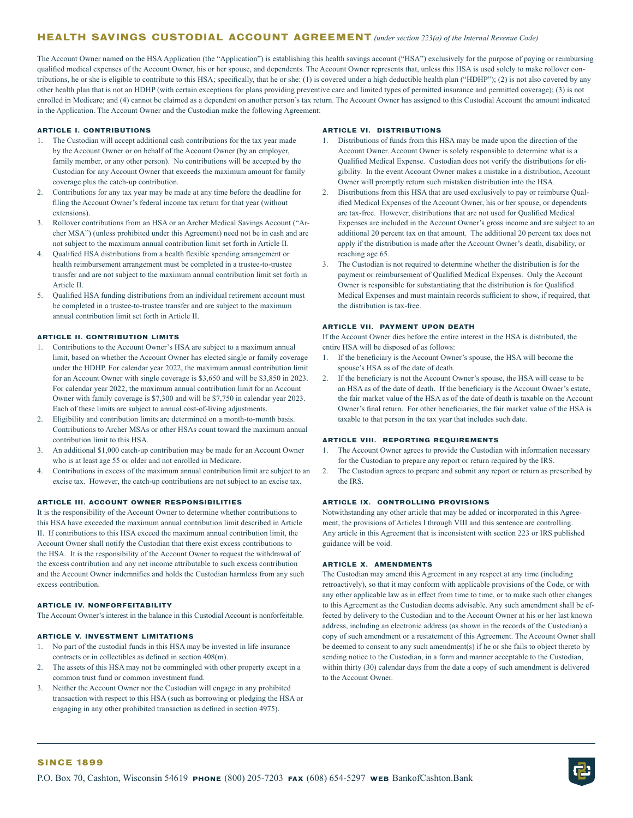## **HEALTH SAVINGS CUSTODIAL ACCOUNT AGREEMENT** *(under section 223(a) of the Internal Revenue Code)*

The Account Owner named on the HSA Application (the "Application") is establishing this health savings account ("HSA") exclusively for the purpose of paying or reimbursing qualified medical expenses of the Account Owner, his or her spouse, and dependents. The Account Owner represents that, unless this HSA is used solely to make rollover contributions, he or she is eligible to contribute to this HSA; specifically, that he or she: (1) is covered under a high deductible health plan ("HDHP"); (2) is not also covered by any other health plan that is not an HDHP (with certain exceptions for plans providing preventive care and limited types of permitted insurance and permitted coverage); (3) is not enrolled in Medicare; and (4) cannot be claimed as a dependent on another person's tax return. The Account Owner has assigned to this Custodial Account the amount indicated in the Application. The Account Owner and the Custodian make the following Agreement:

#### **ARTICLE I. CONTRIBUTIONS**

- 1. The Custodian will accept additional cash contributions for the tax year made by the Account Owner or on behalf of the Account Owner (by an employer, family member, or any other person). No contributions will be accepted by the Custodian for any Account Owner that exceeds the maximum amount for family coverage plus the catch-up contribution.
- 2. Contributions for any tax year may be made at any time before the deadline for filing the Account Owner's federal income tax return for that year (without extensions).
- 3. Rollover contributions from an HSA or an Archer Medical Savings Account ("Archer MSA") (unless prohibited under this Agreement) need not be in cash and are not subject to the maximum annual contribution limit set forth in Article II.
- 4. Qualified HSA distributions from a health flexible spending arrangement or health reimbursement arrangement must be completed in a trustee-to-trustee transfer and are not subject to the maximum annual contribution limit set forth in Article II.
- 5. Qualified HSA funding distributions from an individual retirement account must be completed in a trustee-to-trustee transfer and are subject to the maximum annual contribution limit set forth in Article II.

### **ARTICLE II. CONTRIBUTION LIMITS**

- 1. Contributions to the Account Owner's HSA are subject to a maximum annual limit, based on whether the Account Owner has elected single or family coverage under the HDHP. For calendar year 2022, the maximum annual contribution limit for an Account Owner with single coverage is \$3,650 and will be \$3,850 in 2023. For calendar year 2022, the maximum annual contribution limit for an Account Owner with family coverage is \$7,300 and will be \$7,750 in calendar year 2023. Each of these limits are subject to annual cost-of-living adjustments.
- 2. Eligibility and contribution limits are determined on a month-to-month basis. Contributions to Archer MSAs or other HSAs count toward the maximum annual contribution limit to this HSA.
- 3. An additional \$1,000 catch-up contribution may be made for an Account Owner who is at least age 55 or older and not enrolled in Medicare.
- 4. Contributions in excess of the maximum annual contribution limit are subject to an excise tax. However, the catch-up contributions are not subject to an excise tax.

#### **ARTICLE III. ACCOUNT OWNER RESPONSIBILITIES**

It is the responsibility of the Account Owner to determine whether contributions to this HSA have exceeded the maximum annual contribution limit described in Article II. If contributions to this HSA exceed the maximum annual contribution limit, the Account Owner shall notify the Custodian that there exist excess contributions to the HSA. It is the responsibility of the Account Owner to request the withdrawal of the excess contribution and any net income attributable to such excess contribution and the Account Owner indemnifies and holds the Custodian harmless from any such excess contribution.

### **ARTICLE IV. NONFORFEITABILITY**

The Account Owner's interest in the balance in this Custodial Account is nonforfeitable.

## **ARTICLE V. INVESTMENT LIMITATIONS**

- 1. No part of the custodial funds in this HSA may be invested in life insurance contracts or in collectibles as defined in section 408(m).
- 2. The assets of this HSA may not be commingled with other property except in a common trust fund or common investment fund.
- 3. Neither the Account Owner nor the Custodian will engage in any prohibited transaction with respect to this HSA (such as borrowing or pledging the HSA or engaging in any other prohibited transaction as defined in section 4975).

#### **ARTICLE VI. DISTRIBUTIONS**

- 1. Distributions of funds from this HSA may be made upon the direction of the Account Owner. Account Owner is solely responsible to determine what is a Qualified Medical Expense. Custodian does not verify the distributions for eligibility. In the event Account Owner makes a mistake in a distribution, Account Owner will promptly return such mistaken distribution into the HSA.
- 2. Distributions from this HSA that are used exclusively to pay or reimburse Qualified Medical Expenses of the Account Owner, his or her spouse, or dependents are tax-free. However, distributions that are not used for Qualified Medical Expenses are included in the Account Owner's gross income and are subject to an additional 20 percent tax on that amount. The additional 20 percent tax does not apply if the distribution is made after the Account Owner's death, disability, or reaching age 65.
- 3. The Custodian is not required to determine whether the distribution is for the payment or reimbursement of Qualified Medical Expenses. Only the Account Owner is responsible for substantiating that the distribution is for Qualified Medical Expenses and must maintain records sufficient to show, if required, that the distribution is tax-free.

#### **ARTICLE VII. PAYMENT UPON DEATH**

If the Account Owner dies before the entire interest in the HSA is distributed, the entire HSA will be disposed of as follows:

- 1. If the beneficiary is the Account Owner's spouse, the HSA will become the spouse's HSA as of the date of death.
- 2. If the beneficiary is not the Account Owner's spouse, the HSA will cease to be an HSA as of the date of death. If the beneficiary is the Account Owner's estate, the fair market value of the HSA as of the date of death is taxable on the Account Owner's final return. For other beneficiaries, the fair market value of the HSA is taxable to that person in the tax year that includes such date.

#### **ARTICLE VIII. REPORTING REQUIREMENTS**

- 1. The Account Owner agrees to provide the Custodian with information necessary for the Custodian to prepare any report or return required by the IRS.
- 2. The Custodian agrees to prepare and submit any report or return as prescribed by the IRS.

#### **ARTICLE IX. CONTROLLING PROVISIONS**

Notwithstanding any other article that may be added or incorporated in this Agreement, the provisions of Articles I through VIII and this sentence are controlling. Any article in this Agreement that is inconsistent with section 223 or IRS published guidance will be void.

#### **ARTICLE X. AMENDMENTS**

The Custodian may amend this Agreement in any respect at any time (including retroactively), so that it may conform with applicable provisions of the Code, or with any other applicable law as in effect from time to time, or to make such other changes to this Agreement as the Custodian deems advisable. Any such amendment shall be effected by delivery to the Custodian and to the Account Owner at his or her last known address, including an electronic address (as shown in the records of the Custodian) a copy of such amendment or a restatement of this Agreement. The Account Owner shall be deemed to consent to any such amendment(s) if he or she fails to object thereto by sending notice to the Custodian, in a form and manner acceptable to the Custodian, within thirty (30) calendar days from the date a copy of such amendment is delivered to the Account Owner.

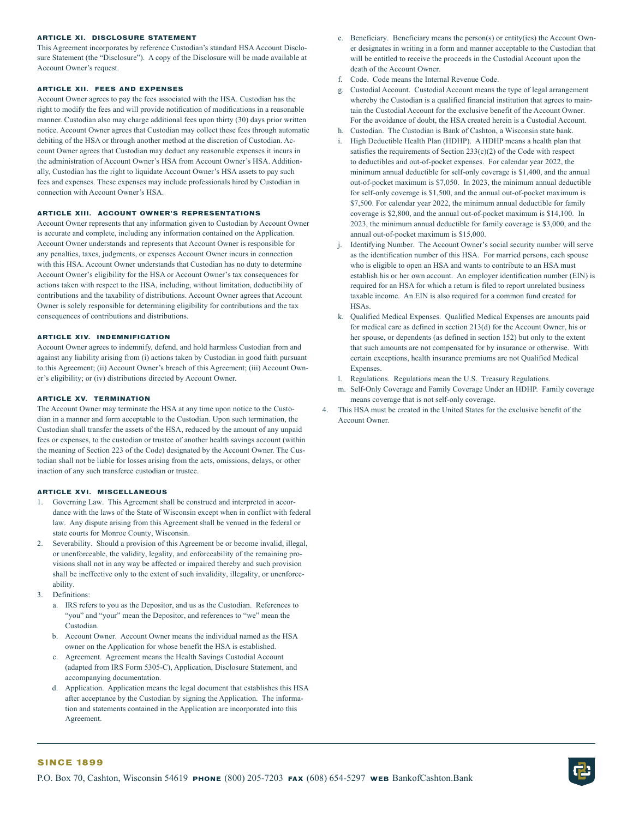#### **ARTICLE XI. DISCLOSURE STATEMENT**

This Agreement incorporates by reference Custodian's standard HSA Account Disclosure Statement (the "Disclosure"). A copy of the Disclosure will be made available at Account Owner's request.

#### **ARTICLE XII. FEES AND EXPENSES**

Account Owner agrees to pay the fees associated with the HSA. Custodian has the right to modify the fees and will provide notification of modifications in a reasonable manner. Custodian also may charge additional fees upon thirty (30) days prior written notice. Account Owner agrees that Custodian may collect these fees through automatic debiting of the HSA or through another method at the discretion of Custodian. Account Owner agrees that Custodian may deduct any reasonable expenses it incurs in the administration of Account Owner's HSA from Account Owner's HSA. Additionally, Custodian has the right to liquidate Account Owner's HSA assets to pay such fees and expenses. These expenses may include professionals hired by Custodian in connection with Account Owner's HSA.

### **ARTICLE XIII. ACCOUNT OWNER'S REPRESENTATIONS**

Account Owner represents that any information given to Custodian by Account Owner is accurate and complete, including any information contained on the Application. Account Owner understands and represents that Account Owner is responsible for any penalties, taxes, judgments, or expenses Account Owner incurs in connection with this HSA. Account Owner understands that Custodian has no duty to determine Account Owner's eligibility for the HSA or Account Owner's tax consequences for actions taken with respect to the HSA, including, without limitation, deductibility of contributions and the taxability of distributions. Account Owner agrees that Account Owner is solely responsible for determining eligibility for contributions and the tax consequences of contributions and distributions.

#### **ARTICLE XIV. INDEMNIFICATION**

Account Owner agrees to indemnify, defend, and hold harmless Custodian from and against any liability arising from (i) actions taken by Custodian in good faith pursuant to this Agreement; (ii) Account Owner's breach of this Agreement; (iii) Account Owner's eligibility; or (iv) distributions directed by Account Owner.

#### **ARTICLE XV. TERMINATION**

The Account Owner may terminate the HSA at any time upon notice to the Custodian in a manner and form acceptable to the Custodian. Upon such termination, the Custodian shall transfer the assets of the HSA, reduced by the amount of any unpaid fees or expenses, to the custodian or trustee of another health savings account (within the meaning of Section 223 of the Code) designated by the Account Owner. The Custodian shall not be liable for losses arising from the acts, omissions, delays, or other inaction of any such transferee custodian or trustee.

#### **ARTICLE XVI. MISCELLANEOUS**

- 1. Governing Law. This Agreement shall be construed and interpreted in accordance with the laws of the State of Wisconsin except when in conflict with federal law. Any dispute arising from this Agreement shall be venued in the federal or state courts for Monroe County, Wisconsin.
- 2. Severability. Should a provision of this Agreement be or become invalid, illegal, or unenforceable, the validity, legality, and enforceability of the remaining provisions shall not in any way be affected or impaired thereby and such provision shall be ineffective only to the extent of such invalidity, illegality, or unenforceability.
- 3. Definitions:
	- a. IRS refers to you as the Depositor, and us as the Custodian. References to "you" and "your" mean the Depositor, and references to "we" mean the Custodian.
	- b. Account Owner. Account Owner means the individual named as the HSA owner on the Application for whose benefit the HSA is established.
	- c. Agreement. Agreement means the Health Savings Custodial Account (adapted from IRS Form 5305-C), Application, Disclosure Statement, and accompanying documentation.
	- d. Application. Application means the legal document that establishes this HSA after acceptance by the Custodian by signing the Application. The information and statements contained in the Application are incorporated into this Agreement.
- e. Beneficiary. Beneficiary means the person(s) or entity(ies) the Account Owner designates in writing in a form and manner acceptable to the Custodian that will be entitled to receive the proceeds in the Custodial Account upon the death of the Account Owner.
- f. Code. Code means the Internal Revenue Code.
- g. Custodial Account. Custodial Account means the type of legal arrangement whereby the Custodian is a qualified financial institution that agrees to maintain the Custodial Account for the exclusive benefit of the Account Owner. For the avoidance of doubt, the HSA created herein is a Custodial Account.
- h. Custodian. The Custodian is Bank of Cashton, a Wisconsin state bank.
- High Deductible Health Plan (HDHP). A HDHP means a health plan that satisfies the requirements of Section  $233(c)(2)$  of the Code with respect to deductibles and out-of-pocket expenses. For calendar year 2022, the minimum annual deductible for self-only coverage is \$1,400, and the annual out-of-pocket maximum is \$7,050. In 2023, the minimum annual deductible for self-only coverage is \$1,500, and the annual out-of-pocket maximum is \$7,500. For calendar year 2022, the minimum annual deductible for family coverage is \$2,800, and the annual out-of-pocket maximum is \$14,100. In 2023, the minimum annual deductible for family coverage is \$3,000, and the annual out-of-pocket maximum is \$15,000.
- j. Identifying Number. The Account Owner's social security number will serve as the identification number of this HSA. For married persons, each spouse who is eligible to open an HSA and wants to contribute to an HSA must establish his or her own account. An employer identification number (EIN) is required for an HSA for which a return is filed to report unrelated business taxable income. An EIN is also required for a common fund created for **HSAs**.
- k. Qualified Medical Expenses. Qualified Medical Expenses are amounts paid for medical care as defined in section 213(d) for the Account Owner, his or her spouse, or dependents (as defined in section 152) but only to the extent that such amounts are not compensated for by insurance or otherwise. With certain exceptions, health insurance premiums are not Qualified Medical Expenses.
- l. Regulations. Regulations mean the U.S. Treasury Regulations.
- m. Self-Only Coverage and Family Coverage Under an HDHP. Family coverage means coverage that is not self-only coverage.
- 4. This HSA must be created in the United States for the exclusive benefit of the Account Owner.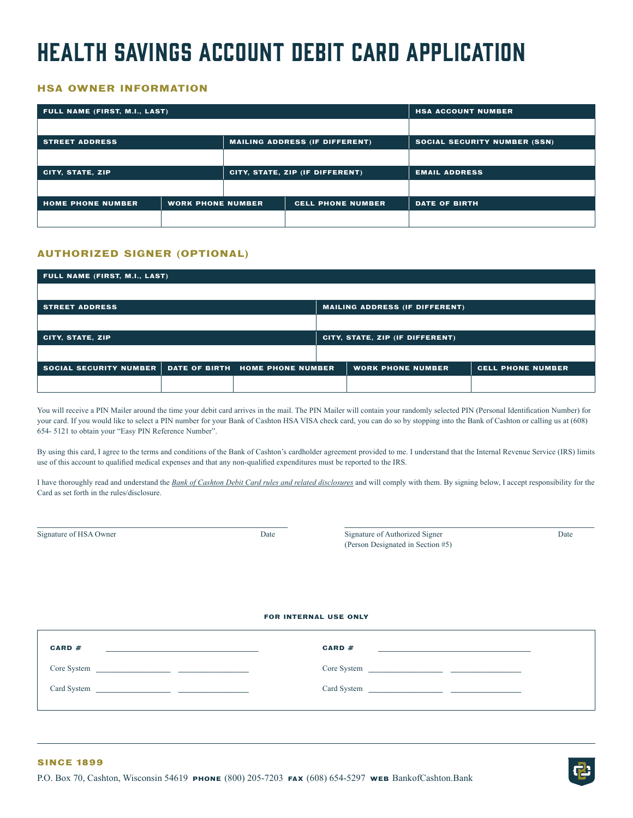## Health Savings Account Debit Card application

## **HSA OWNER INFORMATION**

| FULL NAME (FIRST, M.I., LAST)                        |  |                                 |                                       | <b>HSA ACCOUNT NUMBER</b>           |
|------------------------------------------------------|--|---------------------------------|---------------------------------------|-------------------------------------|
|                                                      |  |                                 |                                       |                                     |
| <b>STREET ADDRESS</b>                                |  |                                 | <b>MAILING ADDRESS (IF DIFFERENT)</b> | <b>SOCIAL SECURITY NUMBER (SSN)</b> |
|                                                      |  |                                 |                                       |                                     |
| <b>CITY, STATE, ZIP</b>                              |  | CITY, STATE, ZIP (IF DIFFERENT) |                                       | <b>EMAIL ADDRESS</b>                |
|                                                      |  |                                 |                                       |                                     |
| <b>HOME PHONE NUMBER</b><br><b>WORK PHONE NUMBER</b> |  | <b>CELL PHONE NUMBER</b>        | <b>DATE OF BIRTH</b>                  |                                     |
|                                                      |  |                                 |                                       |                                     |

## **AUTHORIZED SIGNER (OPTIONAL)**

| FULL NAME (FIRST, M.I., LAST)                          |  |                                       |                          |
|--------------------------------------------------------|--|---------------------------------------|--------------------------|
|                                                        |  |                                       |                          |
| <b>STREET ADDRESS</b>                                  |  | <b>MAILING ADDRESS (IF DIFFERENT)</b> |                          |
|                                                        |  |                                       |                          |
| <b>CITY, STATE, ZIP</b>                                |  | CITY, STATE, ZIP (IF DIFFERENT)       |                          |
|                                                        |  |                                       |                          |
| SOCIAL SECURITY NUMBER DATE OF BIRTH HOME PHONE NUMBER |  | <b>WORK PHONE NUMBER</b>              | <b>CELL PHONE NUMBER</b> |
|                                                        |  |                                       |                          |

You will receive a PIN Mailer around the time your debit card arrives in the mail. The PIN Mailer will contain your randomly selected PIN (Personal Identification Number) for your card. If you would like to select a PIN number for your Bank of Cashton HSA VISA check card, you can do so by stopping into the Bank of Cashton or calling us at (608) 654- 5121 to obtain your "Easy PIN Reference Number".

By using this card, I agree to the terms and conditions of the Bank of Cashton's cardholder agreement provided to me. I understand that the Internal Revenue Service (IRS) limits use of this account to qualified medical expenses and that any non-qualified expenditures must be reported to the IRS.

I have thoroughly read and understand the *Bank of Cashton Debit Card rules and related disclosures* and will comply with them. By signing below, I accept responsibility for the Card as set forth in the rules/disclosure.

**\_\_\_\_\_\_\_\_\_\_\_\_\_\_\_\_\_\_\_\_\_\_\_\_\_\_\_\_\_\_\_\_\_\_\_\_\_\_\_\_\_\_\_\_\_\_\_\_\_\_\_\_\_\_\_\_\_\_\_\_\_\_\_\_ \_\_\_\_\_\_\_\_\_\_\_\_\_\_\_\_\_\_\_\_\_\_\_\_\_\_\_\_\_\_\_\_\_\_\_\_\_\_\_\_\_\_\_\_\_\_\_\_\_\_\_\_\_\_\_\_\_\_\_\_\_\_\_\_**

Signature of HSA Owner Date Date Signature of Authorized Signature of HSA Owner Date (Person Designated in Section #5)

## **FOR INTERNAL USE ONLY**

| CARD#                                                                                                                 | CARD $#$                                                                                                             |
|-----------------------------------------------------------------------------------------------------------------------|----------------------------------------------------------------------------------------------------------------------|
| <u> 1989 - Johann Stoff, Amerikaansk politiker (* 1908)</u>                                                           |                                                                                                                      |
| Core System                                                                                                           | Core System                                                                                                          |
|                                                                                                                       | <u> Alexandria de la contrada de la contrada de la contrada de la contrada de la contrada de la contrada de la c</u> |
| Card System                                                                                                           | Card System                                                                                                          |
| <u> 1989 - Johann Harry Harry Harry Harry Harry Harry Harry Harry Harry Harry Harry Harry Harry Harry Harry Harry</u> |                                                                                                                      |
|                                                                                                                       |                                                                                                                      |

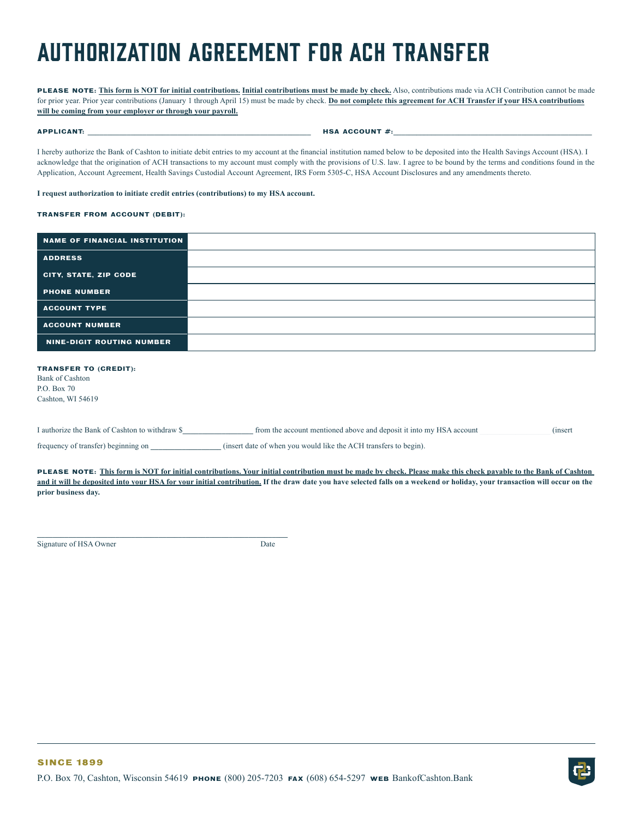## Authorization Agreement for ACH Transfer

**PLEASE NOTE: This form is NOT for initial contributions. Initial contributions must be made by check.** Also, contributions made via ACH Contribution cannot be made for prior year. Prior year contributions (January 1 through April 15) must be made by check. **Do not complete this agreement for ACH Transfer if your HSA contributions will be coming from your employer or through your payroll.**

**APPLICANT: \_\_\_\_\_\_\_\_\_\_\_\_\_\_\_\_\_\_\_\_\_\_\_\_\_\_\_\_\_\_\_\_\_\_\_\_\_\_\_\_\_\_\_\_\_\_\_\_\_\_\_\_\_\_\_\_\_ HSA ACCOUNT #:\_\_\_\_\_\_\_\_\_\_\_\_\_\_\_\_\_\_\_\_\_\_\_\_\_\_\_\_\_\_\_\_\_\_\_\_\_\_\_\_\_\_\_\_\_\_\_\_\_\_\_**

I hereby authorize the Bank of Cashton to initiate debit entries to my account at the financial institution named below to be deposited into the Health Savings Account (HSA). I acknowledge that the origination of ACH transactions to my account must comply with the provisions of U.S. law. I agree to be bound by the terms and conditions found in the Application, Account Agreement, Health Savings Custodial Account Agreement, IRS Form 5305-C, HSA Account Disclosures and any amendments thereto.

### **I request authorization to initiate credit entries (contributions) to my HSA account.**

#### **TRANSFER FROM ACCOUNT (DEBIT):**

| NAME OF FINANCIAL INSTITUTION                                                              |  |
|--------------------------------------------------------------------------------------------|--|
| <b>ADDRESS</b>                                                                             |  |
| CITY, STATE, ZIP CODE                                                                      |  |
| <b>PHONE NUMBER</b>                                                                        |  |
| <b>ACCOUNT TYPE</b>                                                                        |  |
| <b>ACCOUNT NUMBER</b>                                                                      |  |
| <b>NINE-DIGIT ROUTING NUMBER</b>                                                           |  |
| <b>TRANSFER TO (CREDIT):</b><br><b>Bank of Cashton</b><br>P.O. Box 70<br>Cashton, WI 54619 |  |

| I authorize the Bank<br>e account mentioned above and deposit it into my HSA account<br>$\therefore$ ashton to $\therefore$<br>) withdraw<br>nt t | unsert) |
|---------------------------------------------------------------------------------------------------------------------------------------------------|---------|
|---------------------------------------------------------------------------------------------------------------------------------------------------|---------|

frequency of transfer) beginning on **\_\_\_\_\_\_\_\_\_\_\_\_\_\_\_\_\_\_** (insert date of when you would like the ACH transfers to begin).

**\_\_\_\_\_\_\_\_\_\_\_\_\_\_\_\_\_\_\_\_\_\_\_\_\_\_\_\_\_\_\_\_\_\_\_\_\_\_\_\_\_\_\_\_\_\_\_\_\_\_\_\_\_\_\_\_\_\_\_\_\_\_\_\_**

**PLEASE NOTE: This form is NOT for initial contributions. Your initial contribution must be made by check. Please make this check payable to the Bank of Cashton**  and it will be deposited into your HSA for your initial contribution. If the draw date you have selected falls on a weekend or holiday, your transaction will occur on the **prior business day.**

Signature of HSA Owner Date